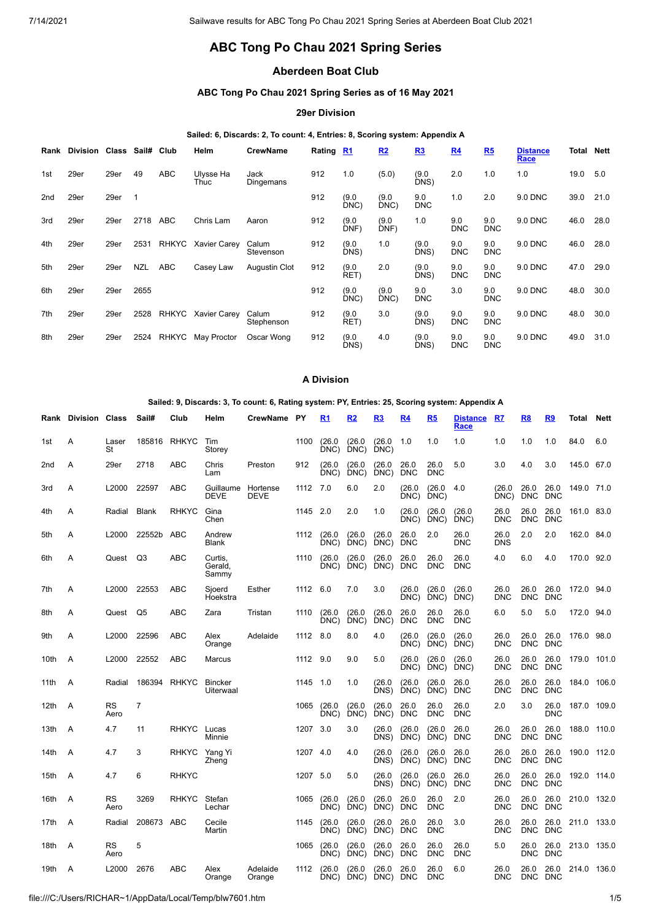# **ABC Tong Po Chau 2021 Spring Series**

## **Aberdeen Boat Club**

## **ABC Tong Po Chau 2021 Spring Series as of 16 May 2021**

## **29er Division**

### **Sailed: 6, Discards: 2, To count: 4, Entries: 8, Scoring system: Appendix A**

| Rank            | <b>Division Class</b> |      | Sail#       | Club         | Helm                | <b>CrewName</b>      | Rating R1 |               | R2            | R3                | R <sub>4</sub>    | R5                | <b>Distance</b><br>Race | Total | <b>Nett</b> |
|-----------------|-----------------------|------|-------------|--------------|---------------------|----------------------|-----------|---------------|---------------|-------------------|-------------------|-------------------|-------------------------|-------|-------------|
| 1st             | 29er                  | 29er | 49          | ABC          | Ulysse Ha<br>Thuc   | Jack<br>Dingemans    | 912       | 1.0           | (5.0)         | (9.0)<br>DNS)     | 2.0               | 1.0               | 1.0                     | 19.0  | 5.0         |
| 2 <sub>nd</sub> | 29er                  | 29er | $\mathbf 1$ |              |                     |                      | 912       | (9.0)<br>DNC) | (9.0)<br>DNC) | 9.0<br><b>DNC</b> | 1.0               | 2.0               | 9.0 DNC                 | 39.0  | 21.0        |
| 3rd             | 29er                  | 29er | 2718        | <b>ABC</b>   | Chris Lam           | Aaron                | 912       | (9.0)<br>DNF) | (9.0)<br>DNF) | 1.0               | 9.0<br><b>DNC</b> | 9.0<br><b>DNC</b> | 9.0 DNC                 | 46.0  | 28.0        |
| 4th             | 29er                  | 29er | 2531        | <b>RHKYC</b> | <b>Xavier Carey</b> | Calum<br>Stevenson   | 912       | (9.0)<br>DNS) | 1.0           | (9.0)<br>DNS)     | 9.0<br><b>DNC</b> | 9.0<br><b>DNC</b> | 9.0 DNC                 | 46.0  | 28.0        |
| 5th             | 29er                  | 29er | <b>NZL</b>  | <b>ABC</b>   | Casey Law           | <b>Augustin Clot</b> | 912       | (9.0)<br>RET) | 2.0           | (9.0)<br>DNS)     | 9.0<br><b>DNC</b> | 9.0<br><b>DNC</b> | 9.0 DNC                 | 47.0  | 29.0        |
| 6th             | 29er                  | 29er | 2655        |              |                     |                      | 912       | (9.0)<br>DNC) | (9.0)<br>DNC) | 9.0<br><b>DNC</b> | 3.0               | 9.0<br><b>DNC</b> | 9.0 DNC                 | 48.0  | 30.0        |
| 7th             | 29er                  | 29er | 2528        | RHKYC        | <b>Xavier Carey</b> | Calum<br>Stephenson  | 912       | (9.0)<br>RET) | 3.0           | (9.0)<br>DNS)     | 9.0<br><b>DNC</b> | 9.0<br><b>DNC</b> | 9.0 DNC                 | 48.0  | 30.0        |
| 8th             | 29er                  | 29er | 2524        | <b>RHKYC</b> | May Proctor         | Oscar Wong           | 912       | (9.0)<br>DNS) | 4.0           | (9.0)<br>DNS)     | 9.0<br><b>DNC</b> | 9.0<br><b>DNC</b> | 9.0 DNC                 | 49.0  | 31.0        |

### **A Division**

### **Sailed: 9, Discards: 3, To count: 6, Rating system: PY, Entries: 25, Scoring system: Appendix A**

|                 | <b>Rank Division Class</b> |                   | Sail#          | Club          | Helm                               | CrewName PY             |          | R1             | R <sub>2</sub>      | R3                 | R4                 | R <sub>5</sub>     | <b>Distance</b><br>Race | R7                 | R8                 | R9                 | Total       | Nett        |
|-----------------|----------------------------|-------------------|----------------|---------------|------------------------------------|-------------------------|----------|----------------|---------------------|--------------------|--------------------|--------------------|-------------------------|--------------------|--------------------|--------------------|-------------|-------------|
| 1st             | A                          | Laser<br>St       |                | 185816 RHKYC  | Tim<br>Storey                      |                         | 1100     | (26.0)<br>DNC) | (26.0)<br>DNC)      | (26.0)<br>DNC)     | 1.0                | 1.0                | 1.0                     | 1.0                | 1.0                | 1.0                | 84.0        | 6.0         |
| 2 <sub>nd</sub> | A                          | 29er              | 2718           | <b>ABC</b>    | Chris<br>Lam                       | Preston                 | 912      | (26.0)<br>DNC) | (26.0)<br>DNC)      | (26.0)<br>DNC)     | 26.0<br><b>DNC</b> | 26.0<br><b>DNC</b> | 5.0                     | 3.0                | 4.0                | 3.0                | 145.0 67.0  |             |
| 3rd             | Α                          | L2000             | 22597          | <b>ABC</b>    | Guillaume<br>DEVE                  | Hortense<br><b>DEVE</b> | 1112 7.0 |                | 6.0                 | 2.0                | (26.0)<br>DNC)     | (26.0)<br>DNC)     | 4.0                     | (26.0)<br>DNC)     | 26.0<br><b>DNC</b> | 26.0<br><b>DNC</b> | 149.0 71.0  |             |
| 4th             | A                          | Radial            | <b>Blank</b>   | <b>RHKYC</b>  | Gina<br>Chen                       |                         | 1145 2.0 |                | 2.0                 | 1.0                | (26.0)<br>DNC)     | (26.0)<br>DNC)     | (26.0)<br>DNC)          | 26.0<br><b>DNC</b> | 26.0<br><b>DNC</b> | 26.0<br><b>DNC</b> | 161.0 83.0  |             |
| 5th             | A                          | L <sub>2000</sub> | 22552b         | ABC           | Andrew<br><b>Blank</b>             |                         | 1112     | (26.0)<br>DNC) | (26.0)<br>DNC)      | (26.0)<br>DNC)     | 26.0<br><b>DNC</b> | 2.0                | 26.0<br><b>DNC</b>      | 26.0<br><b>DNS</b> | 2.0                | 2.0                | 162.0 84.0  |             |
| 6th             | Α                          | Quest             | Q3             | ABC           | Curtis,<br>Gerald,<br>Sammy        |                         | 1110     | (26.0)<br>DNC) | (26.0)<br>DNC)      | (26.0)<br>DNC)     | 26.0<br><b>DNC</b> | 26.0<br><b>DNC</b> | 26.0<br><b>DNC</b>      | 4.0                | 6.0                | 4.0                | 170.0 92.0  |             |
| 7th             | Α                          | L2000             | 22553          | <b>ABC</b>    | Sjoerd<br>Hoekstra                 | Esther                  | 1112 6.0 |                | 7.0                 | 3.0                | (26.0)<br>DNC)     | (26.0)<br>DNC)     | (26.0)<br>DNC)          | 26.0<br><b>DNC</b> | 26.0<br><b>DNC</b> | 26.0<br><b>DNC</b> | 172.0 94.0  |             |
| 8th             | A                          | Quest             | Q5             | ABC           | Zara                               | Tristan                 | 1110     | (26.0)<br>DNC) | (26.0)<br>DNC)      | (26.0)<br>DNC)     | 26.0<br><b>DNC</b> | 26.0<br><b>DNC</b> | 26.0<br><b>DNC</b>      | 6.0                | 5.0                | 5.0                | 172.0 94.0  |             |
| 9th             | A                          | L <sub>2000</sub> | 22596          | <b>ABC</b>    | Alex<br>Orange                     | Adelaide                | 1112 8.0 |                | 8.0                 | 4.0                | (26.0)<br>DNC)     | (26.0)<br>DNC)     | (26.0)<br>DNC)          | 26.0<br><b>DNC</b> | 26.0<br><b>DNC</b> | 26.0<br><b>DNC</b> | 176.0 98.0  |             |
| 10th            | A                          | L2000             | 22552          | <b>ABC</b>    | Marcus                             |                         | 1112     | 9.0            | 9.0                 | 5.0                | (26.0)<br>DNC)     | (26.0)<br>DNC)     | (26.0)<br>DNC)          | 26.0<br><b>DNC</b> | 26.0<br><b>DNC</b> | 26.0<br><b>DNC</b> |             | 179.0 101.0 |
| 11th            | A                          | Radial            |                | 186394 RHKYC  | <b>Bincker</b><br><b>Uiterwaal</b> |                         | 1145 1.0 |                | 1.0                 | (26.0)<br>DNS)     | (26.0)<br>DNC      | (26.0)<br>DNC)     | 26.0<br><b>DNC</b>      | 26.0<br><b>DNC</b> | 26.0<br><b>DNC</b> | 26.0<br><b>DNC</b> |             | 184.0 106.0 |
| 12th            | A                          | <b>RS</b><br>Aero | $\overline{7}$ |               |                                    |                         | 1065     | (26.0)<br>DNC) | (26.0)<br>DNC)      | (26.0)<br>DNC)     | 26.0<br><b>DNC</b> | 26.0<br><b>DNC</b> | 26.0<br><b>DNC</b>      | 2.0                | 3.0                | 26.0<br><b>DNC</b> |             | 187.0 109.0 |
| 13th            | A                          | 4.7               | 11             | RHKYC Lucas   | Minnie                             |                         | 1207 3.0 |                | 3.0                 | (26.0)<br>DNS)     | (26.0)<br>DNC)     | (26.0)<br>DNC)     | 26.0<br><b>DNC</b>      | 26.0<br><b>DNC</b> | 26.0<br><b>DNC</b> | 26.0<br><b>DNC</b> | 188.0 110.0 |             |
| 14th            | A                          | 4.7               | 3              | RHKYC Yang Yi | Zheng                              |                         | 1207 4.0 |                | 4.0                 | (26.0)<br>DNS)     | (26.0)<br>DNC)     | (26.0)<br>DNC)     | 26.0<br><b>DNC</b>      | 26.0<br><b>DNC</b> | 26.0<br><b>DNC</b> | 26.0<br><b>DNC</b> | 190.0 112.0 |             |
| 15th            | A                          | 4.7               | 6              | <b>RHKYC</b>  |                                    |                         | 1207     | 5.0            | 5.0                 | (26.0)<br>DNS)     | (26.0)<br>DNC)     | (26.0)<br>DNC)     | 26.0<br><b>DNC</b>      | 26.0<br><b>DNC</b> | 26.0<br><b>DNC</b> | 26.0<br><b>DNC</b> | 192.0 114.0 |             |
| 16th            | A                          | <b>RS</b><br>Aero | 3269           | <b>RHKYC</b>  | Stefan<br>Lechar                   |                         | 1065     | (26.0)<br>DNC) | (26.0)<br>DNC)      | (26.0)<br>DNC)     | 26.0<br><b>DNC</b> | 26.0<br><b>DNC</b> | 2.0                     | 26.0<br><b>DNC</b> | 26.0<br><b>DNC</b> | 26.0<br><b>DNC</b> |             | 210.0 132.0 |
| 17th            | $\overline{A}$             | Radial            | 208673 ABC     |               | Cecile<br>Martin                   |                         | 1145     | (26.0)<br>DNC) | (26.0)<br>DNC)      | (26.0)<br>DNC)     | 26.0<br><b>DNC</b> | 26.0<br><b>DNC</b> | 3.0                     | 26.0<br><b>DNC</b> | 26.0<br><b>DNC</b> | 26.0<br><b>DNC</b> | 211.0 133.0 |             |
| 18th            | A                          | <b>RS</b><br>Aero | 5              |               |                                    |                         | 1065     | (26.0)<br>DNC) | (26.0)<br>DNC)      | (26.0)<br>DNC)     | 26.0<br><b>DNC</b> | 26.0<br><b>DNC</b> | 26.0<br><b>DNC</b>      | 5.0                | 26.0<br><b>DNC</b> | 26.0<br><b>DNC</b> |             | 213.0 135.0 |
| 19th            | A                          | L2000             | 2676           | ABC           | Alex<br>Orange                     | Adelaide<br>Orange      | 1112     | (26.0)         | (26.0)<br>DNC) DNC) | (26.0)<br>DNC) DNC | 26.0               | 26.0<br><b>DNC</b> | 6.0                     | 26.0<br><b>DNC</b> | 26.0<br>DNC DNC    | 26.0               | 214.0 136.0 |             |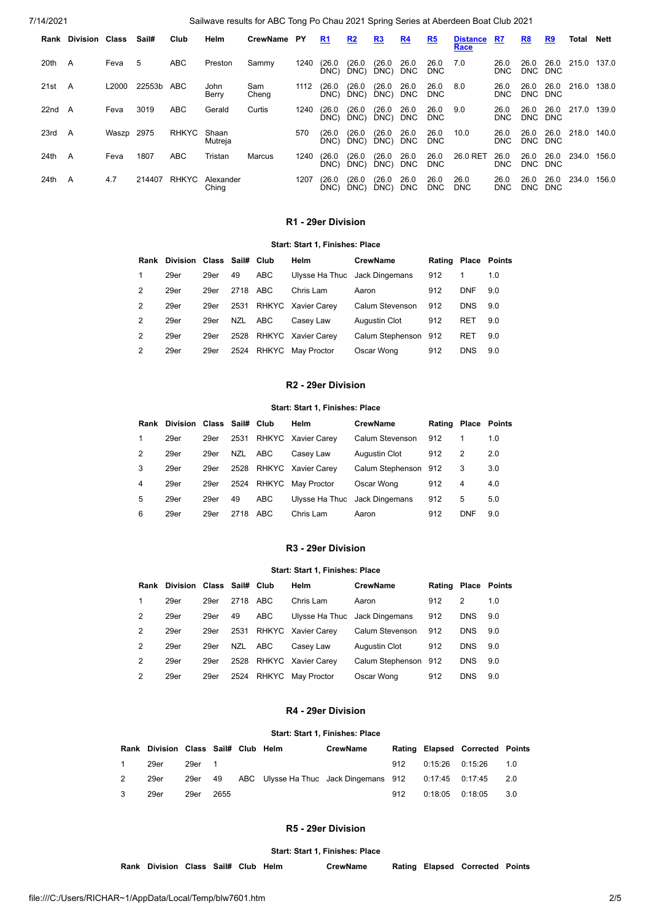| 7/14/2021 |                            |       |        |              |                    | Sailwave results for ABC Tong Po Chau 2021 Spring Series at Aberdeen Boat Club 2021 |      |                |                |                |                    |                    |                         |                    |                    |                    |             |       |
|-----------|----------------------------|-------|--------|--------------|--------------------|-------------------------------------------------------------------------------------|------|----------------|----------------|----------------|--------------------|--------------------|-------------------------|--------------------|--------------------|--------------------|-------------|-------|
|           | <b>Rank Division Class</b> |       | Sail#  | Club         | Helm               | CrewName PY                                                                         |      | R <sub>1</sub> | R2             | R3             | R <sub>4</sub>     | R <sub>5</sub>     | <b>Distance</b><br>Race | R7                 | <u>R8</u>          | R9                 | Total       | Nett  |
| 20th      | A                          | Feva  | 5      | <b>ABC</b>   | Preston            | Sammy                                                                               | 1240 | (26.0)<br>DNC  | (26.0<br>DNC)  | (26.0)<br>DNC) | 26.0<br><b>DNC</b> | 26.0<br><b>DNC</b> | 7.0                     | 26.0<br><b>DNC</b> | 26.0<br><b>DNC</b> | 26.0<br><b>DNC</b> | 215.0 137.0 |       |
| 21st      | A                          | L2000 | 22553b | ABC          | John<br>Berry      | Sam<br>Cheng                                                                        | 1112 | (26.0)<br>DNC) | (26.0)<br>DNC) | (26.0)<br>DNC) | 26.0<br><b>DNC</b> | 26.0<br><b>DNC</b> | 8.0                     | 26.0<br><b>DNC</b> | 26.0<br>DNC DNC    | 26.0               | 216.0       | 138.0 |
| 22nd      | A                          | Feva  | 3019   | <b>ABC</b>   | Gerald             | Curtis                                                                              | 1240 | (26.0)<br>DNC) | (26.0)<br>DNC) | (26.0)<br>DNC) | 26.0<br><b>DNC</b> | 26.0<br><b>DNC</b> | 9.0                     | 26.0<br><b>DNC</b> | 26.0<br><b>DNC</b> | 26.0<br><b>DNC</b> | 217.0       | 139.0 |
| 23rd      | A                          | Waszp | 2975   | <b>RHKYC</b> | Shaan<br>Mutreja   |                                                                                     | 570  | (26.0)<br>DNC) | (26.0<br>DNC)  | (26.0)<br>DNC) | 26.0<br><b>DNC</b> | 26.0<br><b>DNC</b> | 10.0                    | 26.0<br><b>DNC</b> | 26.0<br>DNC DNC    | 26.0               | 218.0       | 140.0 |
| 24th      | A                          | Feva  | 1807   | <b>ABC</b>   | Tristan            | Marcus                                                                              | 1240 | (26.0)<br>DNC) | (26.0<br>DNC)  | (26.0)<br>DNC) | 26.0<br><b>DNC</b> | 26.0<br><b>DNC</b> | 26.0 RET                | 26.0<br><b>DNC</b> | 26.0<br><b>DNC</b> | 26.0<br><b>DNC</b> | 234.0       | 156.0 |
| 24th      | A                          | 4.7   | 214407 | <b>RHKYC</b> | Alexander<br>Ching |                                                                                     | 1207 | (26.0)<br>DNC) | (26.0)<br>DNC) | (26.0)<br>DNC) | 26.0<br><b>DNC</b> | 26.0<br><b>DNC</b> | 26.0<br><b>DNC</b>      | 26.0<br><b>DNC</b> | 26.0<br><b>DNC</b> | 26.0<br><b>DNC</b> | 234.0       | 156.0 |

## **R1 - 29er Division**

## **Start: Start 1, Finishes: Place**

<span id="page-1-0"></span>

|               | Rank Division Class Sail# Club |      |      |              | Helm                    | <b>CrewName</b>               | Rating Place Points |            |     |
|---------------|--------------------------------|------|------|--------------|-------------------------|-------------------------------|---------------------|------------|-----|
| 1             | 29er                           | 29er | 49   | ABC          |                         | Ulysse Ha Thuc Jack Dingemans | 912                 |            | 1.0 |
| 2             | 29er                           | 29er | 2718 | ABC          | Chris Lam               | Aaron                         | 912                 | <b>DNF</b> | 9.0 |
| 2             | 29er                           | 29er | 2531 |              | RHKYC Xavier Carev      | Calum Stevenson               | 912                 | <b>DNS</b> | 9.0 |
| $\mathcal{P}$ | 29er                           | 29er | NZL  | ABC          | Casev Law               | Augustin Clot                 | 912                 | <b>RET</b> | 9.0 |
| 2             | 29er                           | 29er |      |              | 2528 RHKYC Xavier Carey | Calum Stephenson 912          |                     | <b>RET</b> | 9.0 |
| 2             | 29er                           | 29er | 2524 | <b>RHKYC</b> | May Proctor             | Oscar Wong                    | 912                 | <b>DNS</b> | 9.0 |

## **R2 - 29er Division**

#### **Start: Start 1, Finishes: Place**

<span id="page-1-1"></span>

|   | Rank Division Class Sail# Club |      |      |            | Helm                    | <b>CrewName</b>               | Rating Place Points |            |     |
|---|--------------------------------|------|------|------------|-------------------------|-------------------------------|---------------------|------------|-----|
| 1 | 29er                           | 29er | 2531 |            | RHKYC Xavier Carey      | Calum Stevenson               | 912                 |            | 1.0 |
| 2 | 29er                           | 29er | NZL  | ABC        | Casey Law               | Augustin Clot                 | 912                 | 2          | 2.0 |
| 3 | 29er                           | 29er |      |            | 2528 RHKYC Xavier Carev | Calum Stephenson 912          |                     | 3          | 3.0 |
| 4 | 29er                           | 29er |      | 2524 RHKYC | May Proctor             | Oscar Wong                    | 912                 | 4          | 4.0 |
| 5 | 29er                           | 29er | 49   | ABC        |                         | Ulysse Ha Thuc Jack Dingemans | 912                 | 5          | 5.0 |
| 6 | 29er                           | 29er | 2718 | ABC        | Chris Lam               | Aaron                         | 912                 | <b>DNF</b> | 9.0 |

## **R3 - 29er Division**

#### **Start: Start 1, Finishes: Place**

<span id="page-1-2"></span>

|   | Rank Division Class Sail# Club |      |      |       | Helm               | <b>CrewName</b>               | Rating Place Points |            |     |
|---|--------------------------------|------|------|-------|--------------------|-------------------------------|---------------------|------------|-----|
| 1 | 29er                           | 29er | 2718 | ABC   | Chris Lam          | Aaron                         | 912                 | 2          | 1.0 |
| 2 | 29er                           | 29er | 49   | ABC   |                    | Ulysse Ha Thuc Jack Dingemans | 912                 | <b>DNS</b> | 9.0 |
| 2 | 29er                           | 29er | 2531 |       | RHKYC Xavier Carey | Calum Stevenson               | 912                 | <b>DNS</b> | 9.0 |
| 2 | 29er                           | 29er | NZL  | ABC   | Casev Law          | Augustin Clot                 | 912                 | <b>DNS</b> | 9.0 |
| 2 | 29er                           | 29er | 2528 |       | RHKYC Xavier Carey | Calum Stephenson 912          |                     | <b>DNS</b> | 9.0 |
| 2 | 29er                           | 29er | 2524 | RHKYC | May Proctor        | Oscar Wong                    | 912                 | <b>DNS</b> | 9.0 |

## **R4 - 29er Division**

### **Start: Start 1, Finishes: Place**

<span id="page-1-3"></span>

|              | Rank Division Class Sail# Club Helm |        |      |  | <b>CrewName</b>                                                          |     | Rating Elapsed Corrected Points |  |
|--------------|-------------------------------------|--------|------|--|--------------------------------------------------------------------------|-----|---------------------------------|--|
| $\mathbf{1}$ | 29er                                | 29er 1 |      |  |                                                                          |     | 912  0:15:26  0:15:26  1.0      |  |
| 2            | 29er                                |        |      |  | 29er  49  ABC Ulysse Ha Thuc Jack Dingemans 912   0:17:45  0:17:45   2.0 |     |                                 |  |
| 3            | 29er                                | 29er   | 2655 |  |                                                                          | 912 | $0:18:05$ $0:18:05$ 3.0         |  |

### **R5 - 29er Division**

#### **Start: Start 1, Finishes: Place**

<span id="page-1-4"></span>**Rank Division Class Sail# Club Helm CrewName Rating Elapsed Corrected Points**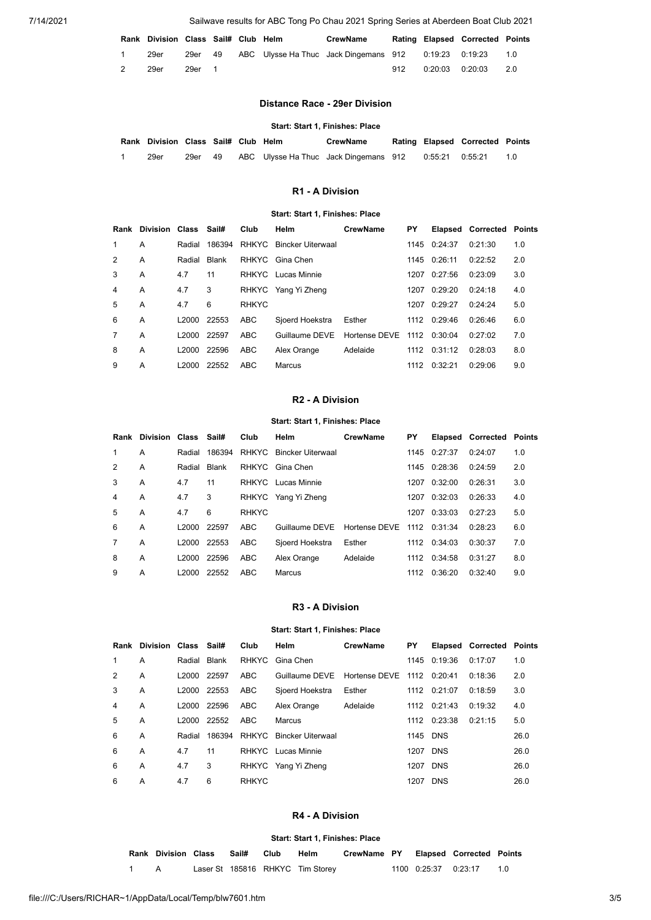<span id="page-2-0"></span>7/14/2021 Sailwave results for ABC Tong Po Chau 2021 Spring Series at Aberdeen Boat Club 2021

|   | Rank Division Class Sail# Club Helm |        |  | CrewName                                                      |     |                  | Rating Elapsed Corrected Points |     |
|---|-------------------------------------|--------|--|---------------------------------------------------------------|-----|------------------|---------------------------------|-----|
|   | 29er                                |        |  | 29er 49 ABC Ulysse Ha Thuc Jack Dingemans 912 0:19:23 0:19:23 |     |                  |                                 | 1.0 |
| 2 | 29er                                | 29er 1 |  |                                                               | 912 | 0:20:03  0:20:03 |                                 | 2.0 |

## **Distance Race - 29er Division**

### **Start: Start 1, Finishes: Place**

| Rank Division Class Sail# Club Helm |         |  | <b>CrewName</b>                       |  | Rating Elapsed Corrected Points |  |
|-------------------------------------|---------|--|---------------------------------------|--|---------------------------------|--|
| 29er                                | 29er 49 |  | ABC Ulysse Ha Thuc Jack Dingemans 912 |  |                                 |  |

## **R1 - A Division**

#### **Start: Start 1, Finishes: Place**

<span id="page-2-1"></span>

| Rank           | Division Class Sail# |         |        | Club         | Helm                    | <b>CrewName</b>    | PΥ   |              | Elapsed Corrected | Points |
|----------------|----------------------|---------|--------|--------------|-------------------------|--------------------|------|--------------|-------------------|--------|
| 1.             | A                    | Radial  | 186394 |              | RHKYC Bincker Uiterwaal |                    | 1145 | 0:24:37      | 0:21:30           | 1.0    |
| $\mathcal{P}$  | A                    | Radial  | Blank  | RHKYC        | Gina Chen               |                    |      | 1145 0:26:11 | 0:22:52           | 2.0    |
| 3              | A                    | 4.7     | 11     |              | RHKYC Lucas Minnie      |                    | 1207 | 0:27:56      | 0:23:09           | 3.0    |
| 4              | A                    | 4.7     | 3      |              | RHKYC Yang Yi Zheng     |                    | 1207 | 0:29:20      | 0:24:18           | 4.0    |
| 5              | A                    | 4.7     | 6      | <b>RHKYC</b> |                         |                    | 1207 | 0:29:27      | 0:24:24           | 5.0    |
| 6              | A                    | L2000   | 22553  | <b>ABC</b>   | Sioerd Hoekstra         | Esther             |      | 1112 0:29:46 | 0:26:46           | 6.0    |
| $\overline{7}$ | A                    | L2000 L | 22597  | <b>ABC</b>   | Guillaume DEVE          | Hortense DEVE 1112 |      | 0.30.04      | 0.27.02           | 7.0    |
| 8              | A                    | L2000   | 22596  | ABC          | Alex Orange             | Adelaide           |      | 1112 0:31:12 | 0:28:03           | 8.0    |
| 9              | A                    | L2000   | 22552  | ABC          | Marcus                  |                    | 1112 | 0:32:21      | 0:29:06           | 9.0    |

#### **R2 - A Division**

### **Start: Start 1, Finishes: Place**

<span id="page-2-2"></span>

| Rank          | Division Class Sail# |                   |        | Club         | Helm                     | <b>CrewName</b> | PΥ   |              | <b>Elapsed Corrected</b> | Points |
|---------------|----------------------|-------------------|--------|--------------|--------------------------|-----------------|------|--------------|--------------------------|--------|
| 1             | A                    | Radial            | 186394 | RHKYC        | <b>Bincker Uiterwaal</b> |                 | 1145 | 0:27:37      | 0:24:07                  | 1.0    |
| $\mathcal{P}$ | A                    | Radial            | Blank  |              | RHKYC Gina Chen          |                 |      | 1145 0:28:36 | 0:24:59                  | 2.0    |
| 3             | A                    | 4.7               | 11     |              | RHKYC Lucas Minnie       |                 | 1207 | 0:32:00      | 0:26:31                  | 3.0    |
| 4             | A                    | 4.7               | 3      |              | RHKYC Yang Yi Zheng      |                 |      | 1207 0:32:03 | 0:26:33                  | 4.0    |
| 5             | A                    | 4.7               | 6      | <b>RHKYC</b> |                          |                 | 1207 | 0:33:03      | 0:27:23                  | 5.0    |
| 6             | A                    | L 2000            | 22597  | <b>ABC</b>   | Guillaume DEVE           | Hortense DEVE   |      | 1112 0:31:34 | 0.28.23                  | 6.0    |
| 7             | A                    | L <sub>2000</sub> | 22553  | ABC          | Sjoerd Hoekstra          | Esther          |      | 1112 0:34:03 | 0:30:37                  | 7.0    |
| 8             | A                    | L2000             | 22596  | ABC          | Alex Orange              | Adelaide        |      | 1112 0:34:58 | 0:31:27                  | 8.0    |
| 9             | A                    | L2000             | 22552  | ABC          | Marcus                   |                 | 1112 | 0:36:20      | 0:32:40                  | 9.0    |

#### **R3 - A Division**

#### **Start: Start 1, Finishes: Place**

<span id="page-2-3"></span>

| Rank          | Division Class Sail# |                   |        | Club         | Helm                     | <b>CrewName</b>    | PΥ       |              | <b>Elapsed Corrected Points</b> |      |
|---------------|----------------------|-------------------|--------|--------------|--------------------------|--------------------|----------|--------------|---------------------------------|------|
| $\mathbf{1}$  | A                    | Radial            | Blank  | RHKYC        | Gina Chen                |                    | 1145     | 0:19:36      | 0:17:07                         | 1.0  |
| $\mathcal{P}$ | A                    | L2000             | 22597  | <b>ABC</b>   | Guillaume DEVE           | Hortense DEVE 1112 |          | 0.20:41      | 0:18:36                         | 2.0  |
| 3             | A                    | L2000             | 22553  | ABC          | Sjoerd Hoekstra          | Esther             |          | 1112 0:21:07 | 0:18:59                         | 3.0  |
| 4             | A                    | L2000             | 22596  | ABC          | Alex Orange              | Adelaide           |          | 1112 0:21:43 | 0:19:32                         | 4.0  |
| 5             | A                    | L <sub>2000</sub> | 22552  | <b>ABC</b>   | Marcus                   |                    | 1112     | 0:23:38      | 0:21:15                         | 5.0  |
| 6             | A                    | Radial            | 186394 | RHKYC        | <b>Bincker Uiterwaal</b> |                    | 1145 DNS |              |                                 | 26.0 |
| 6             | A                    | 4.7               | 11     |              | RHKYC Lucas Minnie       |                    |          | 1207 DNS     |                                 | 26.0 |
| 6             | A                    | 4.7               | 3      |              | RHKYC Yang Yi Zheng      |                    | 1207     | <b>DNS</b>   |                                 | 26.0 |
| 6             | A                    | 4.7               | 6      | <b>RHKYC</b> |                          |                    | 1207     | <b>DNS</b>   |                                 | 26.0 |

### **R4 - A Division**

#### **Start: Start 1, Finishes: Place**

<span id="page-2-4"></span>

| Rank Division Class Sail# Club |  | Helm                             | CrewName PY Elapsed Corrected Points |                        |    |
|--------------------------------|--|----------------------------------|--------------------------------------|------------------------|----|
|                                |  | Laser St 185816 RHKYC Tim Storey |                                      | 1100  0:25:37  0:23:17 | 10 |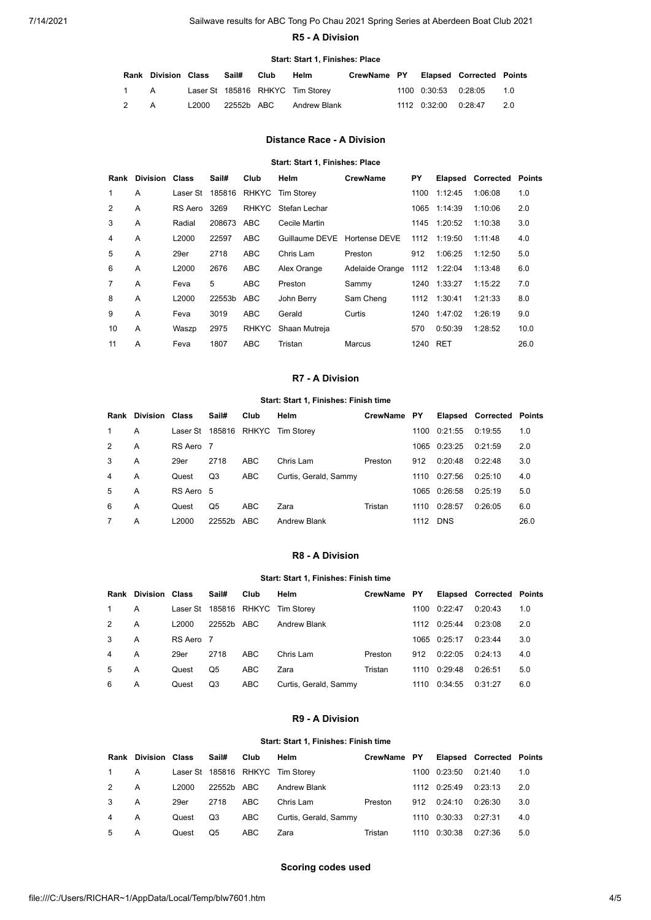### **R5 - A Division**

### **Start: Start 1, Finishes: Place**

<span id="page-3-0"></span>

|     | <b>Rank Division Class</b> |                  | Sail# | Club | Helm                             | CrewName PY Elapsed Corrected Points |                      |                             |    |
|-----|----------------------------|------------------|-------|------|----------------------------------|--------------------------------------|----------------------|-----------------------------|----|
| 1 A |                            |                  |       |      | Laser St 185816 RHKYC Tim Storey |                                      | 1100 0:30:53 0:28:05 |                             | 10 |
| 2   | A                          | L2000 22552b ABC |       |      | Andrew Blank                     |                                      |                      | 1112  0:32:00  0:28:47  2.0 |    |

## **Distance Race - A Division**

### **Start: Start 1, Finishes: Place**

<span id="page-3-1"></span>

| Rank           | <b>Division Class</b> |                   | Sail#      | Club       | Helm                             | <b>CrewName</b> | ΡY   |              | <b>Elapsed Corrected Points</b> |      |
|----------------|-----------------------|-------------------|------------|------------|----------------------------------|-----------------|------|--------------|---------------------------------|------|
| $\mathbf{1}$   | A                     |                   |            |            | Laser St 185816 RHKYC Tim Storey |                 | 1100 | 1:12:45      | 1:06:08                         | 1.0  |
| 2              | $\overline{A}$        | RS Aero           | 3269       |            | RHKYC Stefan Lechar              |                 | 1065 | 1:14:39      | 1:10:06                         | 2.0  |
| 3              | A                     | Radial            | 208673 ABC |            | Cecile Martin                    |                 |      | 1145 1:20:52 | 1:10:38                         | 3.0  |
| 4              | $\overline{A}$        | L <sub>2000</sub> | 22597      | ABC        | Guillaume DEVE Hortense DEVE     |                 | 1112 | 1:19:50      | 1:11:48                         | 4.0  |
| 5              | $\overline{A}$        | 29er              | 2718       | ABC        | Chris Lam                        | Preston         | 912  | 1:06:25      | 1:12:50                         | 5.0  |
| 6              | A                     | L <sub>2000</sub> | 2676       | <b>ABC</b> | Alex Orange                      | Adelaide Orange |      | 1112 1:22:04 | 1:13:48                         | 6.0  |
| $\overline{7}$ | $\overline{A}$        | Feva              | 5          | ABC        | Preston                          | Sammy           |      | 1240 1:33:27 | 1:15:22                         | 7.0  |
| 8              | A                     | L2000             | 22553b     | ABC        | John Berry                       | Sam Cheng       |      | 1112 1:30:41 | 1:21:33                         | 8.0  |
| 9              | $\overline{A}$        | Feva              | 3019       | ABC        | Gerald                           | Curtis          | 1240 | 1:47:02      | 1:26:19                         | 9.0  |
| 10             | A                     | Waszp             | 2975       |            | RHKYC Shaan Mutreja              |                 | 570  | 0:50:39      | 1:28:52                         | 10.0 |
| 11             | A                     | Feva              | 1807       | ABC        | Tristan                          | Marcus          | 1240 | RET          |                                 | 26.0 |

### **R7 - A Division**

## **Start: Start 1, Finishes: Finish time**

<span id="page-3-2"></span>

|               | <b>Rank Division Class</b> |           | Sail#  | Club       | Helm                             | CrewName PY |      |              | <b>Elapsed Corrected Points</b> |      |
|---------------|----------------------------|-----------|--------|------------|----------------------------------|-------------|------|--------------|---------------------------------|------|
| $\mathbf{1}$  | A                          |           |        |            | Laser St 185816 RHKYC Tim Storey |             | 1100 | 0:21:55      | 0:19:55                         | 1.0  |
| $\mathcal{P}$ | А                          | RS Aero 7 |        |            |                                  |             |      | 1065 0:23:25 | 0:21:59                         | 2.0  |
| 3             | A                          | 29er      | 2718   | ABC        | Chris Lam                        | Preston     | 912  | 0:20:48      | 0:22:48                         | 3.0  |
| 4             | A                          | Quest     | Q3     | <b>ABC</b> | Curtis, Gerald, Sammy            |             | 1110 | 0:27:56      | 0:25:10                         | 4.0  |
| 5             | A                          | RS Aero 5 |        |            |                                  |             |      | 1065 0:26:58 | 0:25:19                         | 5.0  |
| 6             | A                          | Quest     | Q5     | ABC        | Zara                             | Tristan     | 1110 | 0:28:57      | 0:26:05                         | 6.0  |
| 7             | А                          | L2000     | 22552b | ABC        | Andrew Blank                     |             | 1112 | <b>DNS</b>   |                                 | 26.0 |

### **R8 - A Division**

## **Start: Start 1, Finishes: Finish time**

<span id="page-3-3"></span>

|   | <b>Rank Division Class</b> |           | Sail#      | Club       | Helm                             | CrewName PY |      |              | <b>Elapsed Corrected Points</b> |     |
|---|----------------------------|-----------|------------|------------|----------------------------------|-------------|------|--------------|---------------------------------|-----|
| 1 | A                          |           |            |            | Laser St 185816 RHKYC Tim Storey |             | 1100 | 0:22:47      | 0:20:43                         | 1.0 |
| 2 | А                          | L2000     | 22552b ABC |            | Andrew Blank                     |             | 1112 | 0:25:44      | 0:23:08                         | 2.0 |
| 3 | A                          | RS Aero 7 |            |            |                                  |             |      | 1065 0:25:17 | 0:23:44                         | 3.0 |
| 4 | А                          | 29er      | 2718       | ABC        | Chris Lam                        | Preston     | 912  | 0:22:05      | 0:24:13                         | 4.0 |
| 5 | А                          | Quest     | Q5         | ABC        | Zara                             | Tristan     | 1110 | 0:29:48      | 0:26:51                         | 5.0 |
| 6 | A                          | Quest     | Q3         | <b>ABC</b> | Curtis, Gerald, Sammy            |             | 1110 | 0:34:55      | 0:31:27                         | 6.0 |

## **R9 - A Division**

#### **Start: Start 1, Finishes: Finish time**

<span id="page-3-4"></span>

|   | <b>Rank Division Class</b> |       | Sail#      | Club | Helm                             | CrewName PY |     |              | <b>Elapsed Corrected Points</b> |     |
|---|----------------------------|-------|------------|------|----------------------------------|-------------|-----|--------------|---------------------------------|-----|
|   | A                          |       |            |      | Laser St 185816 RHKYC Tim Storey |             |     | 1100 0:23:50 | 0:21:40                         | 1.0 |
| 2 | A                          | L2000 | 22552b ABC |      | Andrew Blank                     |             |     | 1112 0:25:49 | 0:23:13                         | 2.0 |
| 3 | A                          | 29er  | 2718       | ABC  | Chris Lam                        | Preston     | 912 | 0:24:10      | 0:26:30                         | 3.0 |
| 4 | A                          | Quest | Q3         | ABC  | Curtis, Gerald, Sammy            |             |     | 1110 0:30:33 | 0:27:31                         | 4.0 |
| 5 | A                          | Quest | Q5         | ABC  | Zara                             | Tristan     |     | 1110 0:30:38 | 0:27:36                         | 5.0 |

## **Scoring codes used**